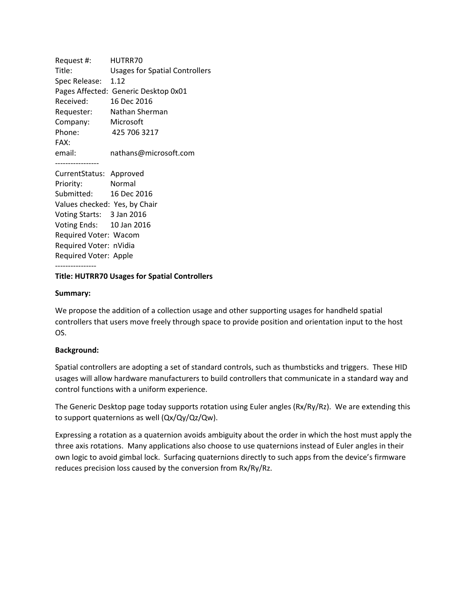Request #: HUTRR70 Title: Usages for Spatial Controllers Spec Release: 1.12 Pages Affected: Generic Desktop 0x01 Received: 16 Dec 2016 Requester: Nathan Sherman Company: Microsoft Phone: 425 706 3217 FAX: email: nathans@microsoft.com ----------------- CurrentStatus: Approved

Priority: Normal Submitted: 16 Dec 2016 Values checked: Yes, by Chair Voting Starts: 3 Jan 2016 Voting Ends: 10 Jan 2016 Required Voter: Wacom Required Voter: nVidia Required Voter: Apple

#### ---------------- **Title: HUTRR70 Usages for Spatial Controllers**

### **Summary:**

We propose the addition of a collection usage and other supporting usages for handheld spatial controllers that users move freely through space to provide position and orientation input to the host OS.

# **Background:**

Spatial controllers are adopting a set of standard controls, such as thumbsticks and triggers. These HID usages will allow hardware manufacturers to build controllers that communicate in a standard way and control functions with a uniform experience.

The Generic Desktop page today supports rotation using Euler angles (Rx/Ry/Rz). We are extending this to support quaternions as well (Qx/Qy/Qz/Qw).

Expressing a rotation as a quaternion avoids ambiguity about the order in which the host must apply the three axis rotations. Many applications also choose to use quaternions instead of Euler angles in their own logic to avoid gimbal lock. Surfacing quaternions directly to such apps from the device's firmware reduces precision loss caused by the conversion from Rx/Ry/Rz.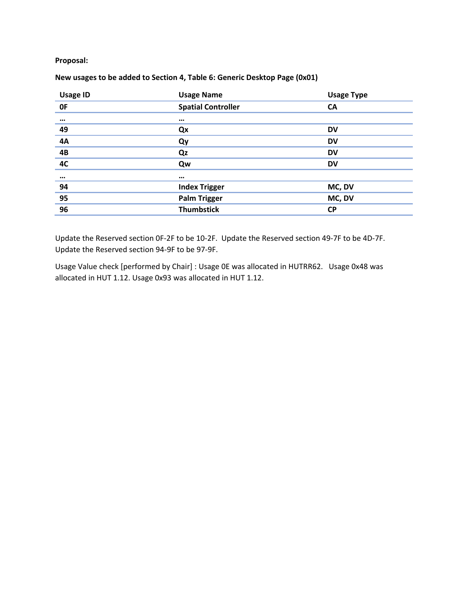**Proposal:**

| <b>Usage ID</b> | <b>Usage Name</b>         | <b>Usage Type</b> |
|-----------------|---------------------------|-------------------|
| 0F              | <b>Spatial Controller</b> | <b>CA</b>         |
| $\cdots$        | $\cdots$                  |                   |
| 49              | Qx                        | <b>DV</b>         |
|                 | Qy                        | <b>DV</b>         |
| $\frac{4A}{4B}$ | Qz                        | <b>DV</b>         |
|                 | Qw                        | <b>DV</b>         |
| $\cdots$        | $\cdots$                  |                   |
| 94              | <b>Index Trigger</b>      | MC, DV            |
| 95              | <b>Palm Trigger</b>       | MC, DV            |
| 96              | <b>Thumbstick</b>         | <b>CP</b>         |

# **New usages to be added to Section 4, Table 6: Generic Desktop Page (0x01)**

Update the Reserved section 0F-2F to be 10-2F. Update the Reserved section 49-7F to be 4D-7F. Update the Reserved section 94-9F to be 97-9F.

Usage Value check [performed by Chair] : Usage 0E was allocated in HUTRR62. Usage 0x48 was allocated in HUT 1.12. Usage 0x93 was allocated in HUT 1.12.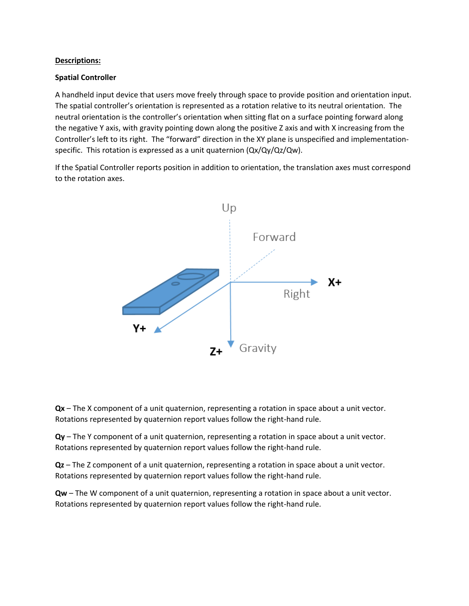### **Descriptions:**

## **Spatial Controller**

A handheld input device that users move freely through space to provide position and orientation input. The spatial controller's orientation is represented as a rotation relative to its neutral orientation. The neutral orientation is the controller's orientation when sitting flat on a surface pointing forward along the negative Y axis, with gravity pointing down along the positive Z axis and with X increasing from the Controller's left to its right. The "forward" direction in the XY plane is unspecified and implementationspecific. This rotation is expressed as a unit quaternion (Qx/Qy/Qz/Qw).

If the Spatial Controller reports position in addition to orientation, the translation axes must correspond to the rotation axes.



**Qx** – The X component of a unit quaternion, representing a rotation in space about a unit vector. Rotations represented by quaternion report values follow the right-hand rule.

**Qy** – The Y component of a unit quaternion, representing a rotation in space about a unit vector. Rotations represented by quaternion report values follow the right-hand rule.

**Qz** – The Z component of a unit quaternion, representing a rotation in space about a unit vector. Rotations represented by quaternion report values follow the right-hand rule.

**Qw** – The W component of a unit quaternion, representing a rotation in space about a unit vector. Rotations represented by quaternion report values follow the right-hand rule.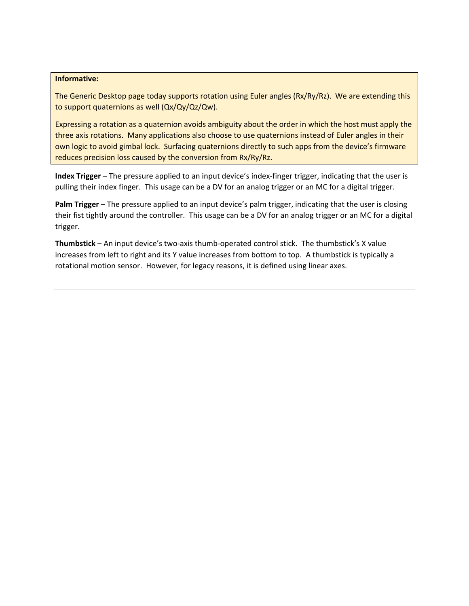#### **Informative:**

The Generic Desktop page today supports rotation using Euler angles (Rx/Ry/Rz). We are extending this to support quaternions as well (Qx/Qy/Qz/Qw).

Expressing a rotation as a quaternion avoids ambiguity about the order in which the host must apply the three axis rotations. Many applications also choose to use quaternions instead of Euler angles in their own logic to avoid gimbal lock. Surfacing quaternions directly to such apps from the device's firmware reduces precision loss caused by the conversion from Rx/Ry/Rz.

**Index Trigger** – The pressure applied to an input device's index-finger trigger, indicating that the user is pulling their index finger. This usage can be a DV for an analog trigger or an MC for a digital trigger.

**Palm Trigger** – The pressure applied to an input device's palm trigger, indicating that the user is closing their fist tightly around the controller. This usage can be a DV for an analog trigger or an MC for a digital trigger.

**Thumbstick** – An input device's two-axis thumb-operated control stick. The thumbstick's X value increases from left to right and its Y value increases from bottom to top. A thumbstick is typically a rotational motion sensor. However, for legacy reasons, it is defined using linear axes.